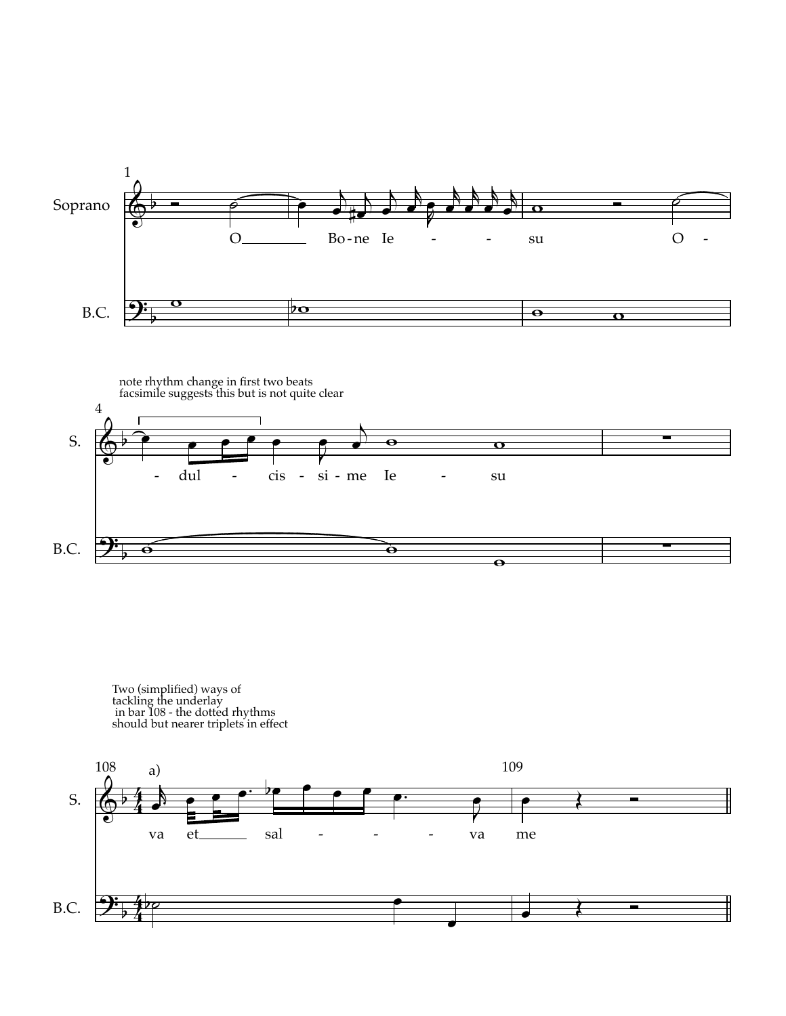



Two (simplified) ways of<br>tackling the underlay<br>in bar 108 - the dotted rhythms<br>should but nearer triplets in effect